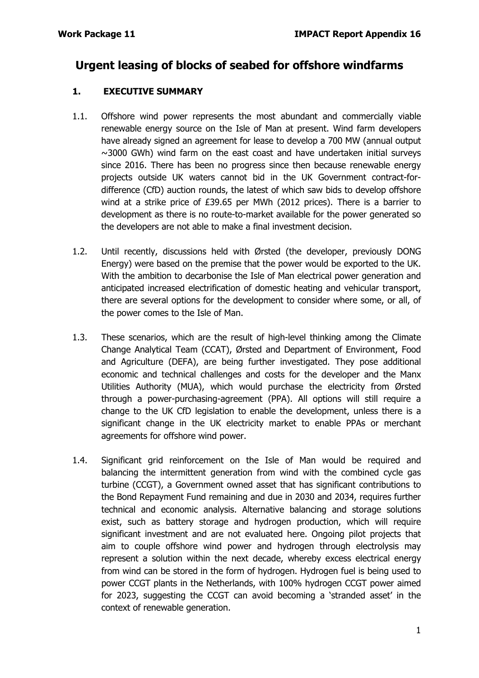# **Urgent leasing of blocks of seabed for offshore windfarms**

## **1. EXECUTIVE SUMMARY**

- 1.1. Offshore wind power represents the most abundant and commercially viable renewable energy source on the Isle of Man at present. Wind farm developers have already signed an agreement for lease to develop a 700 MW (annual output  $\sim$ 3000 GWh) wind farm on the east coast and have undertaken initial surveys since 2016. There has been no progress since then because renewable energy projects outside UK waters cannot bid in the UK Government contract-fordifference (CfD) auction rounds, the latest of which saw bids to develop offshore wind at a strike price of £39.65 per MWh (2012 prices). There is a barrier to development as there is no route-to-market available for the power generated so the developers are not able to make a final investment decision.
- 1.2. Until recently, discussions held with Ørsted (the developer, previously DONG Energy) were based on the premise that the power would be exported to the UK. With the ambition to decarbonise the Isle of Man electrical power generation and anticipated increased electrification of domestic heating and vehicular transport, there are several options for the development to consider where some, or all, of the power comes to the Isle of Man.
- 1.3. These scenarios, which are the result of high-level thinking among the Climate Change Analytical Team (CCAT), Ørsted and Department of Environment, Food and Agriculture (DEFA), are being further investigated. They pose additional economic and technical challenges and costs for the developer and the Manx Utilities Authority (MUA), which would purchase the electricity from Ørsted through a power-purchasing-agreement (PPA). All options will still require a change to the UK CfD legislation to enable the development, unless there is a significant change in the UK electricity market to enable PPAs or merchant agreements for offshore wind power.
- 1.4. Significant grid reinforcement on the Isle of Man would be required and balancing the intermittent generation from wind with the combined cycle gas turbine (CCGT), a Government owned asset that has significant contributions to the Bond Repayment Fund remaining and due in 2030 and 2034, requires further technical and economic analysis. Alternative balancing and storage solutions exist, such as battery storage and hydrogen production, which will require significant investment and are not evaluated here. Ongoing pilot projects that aim to couple offshore wind power and hydrogen through electrolysis may represent a solution within the next decade, whereby excess electrical energy from wind can be stored in the form of hydrogen. Hydrogen fuel is being used to power CCGT plants in the Netherlands, with 100% hydrogen CCGT power aimed for 2023, suggesting the CCGT can avoid becoming a 'stranded asset' in the context of renewable generation.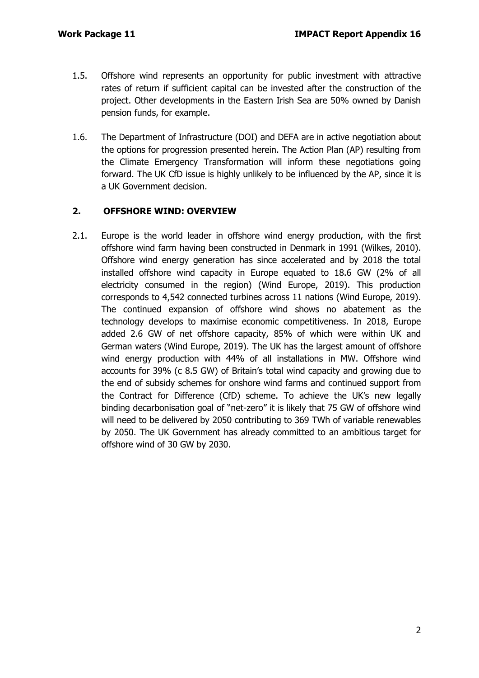- 1.5. Offshore wind represents an opportunity for public investment with attractive rates of return if sufficient capital can be invested after the construction of the project. Other developments in the Eastern Irish Sea are 50% owned by Danish pension funds, for example.
- 1.6. The Department of Infrastructure (DOI) and DEFA are in active negotiation about the options for progression presented herein. The Action Plan (AP) resulting from the Climate Emergency Transformation will inform these negotiations going forward. The UK CfD issue is highly unlikely to be influenced by the AP, since it is a UK Government decision.

# **2. OFFSHORE WIND: OVERVIEW**

2.1. Europe is the world leader in offshore wind energy production, with the first offshore wind farm having been constructed in Denmark in 1991 (Wilkes, 2010). Offshore wind energy generation has since accelerated and by 2018 the total installed offshore wind capacity in Europe equated to 18.6 GW (2% of all electricity consumed in the region) (Wind Europe, 2019). This production corresponds to 4,542 connected turbines across 11 nations (Wind Europe, 2019). The continued expansion of offshore wind shows no abatement as the technology develops to maximise economic competitiveness. In 2018, Europe added 2.6 GW of net offshore capacity, 85% of which were within UK and German waters (Wind Europe, 2019). The UK has the largest amount of offshore wind energy production with 44% of all installations in MW. Offshore wind accounts for 39% (c 8.5 GW) of Britain's total wind capacity and growing due to the end of subsidy schemes for onshore wind farms and continued support from the Contract for Difference (CfD) scheme. To achieve the UK's new legally binding decarbonisation goal of "net-zero" it is likely that 75 GW of offshore wind will need to be delivered by 2050 contributing to 369 TWh of variable renewables by 2050. The UK Government has already committed to an ambitious target for offshore wind of 30 GW by 2030.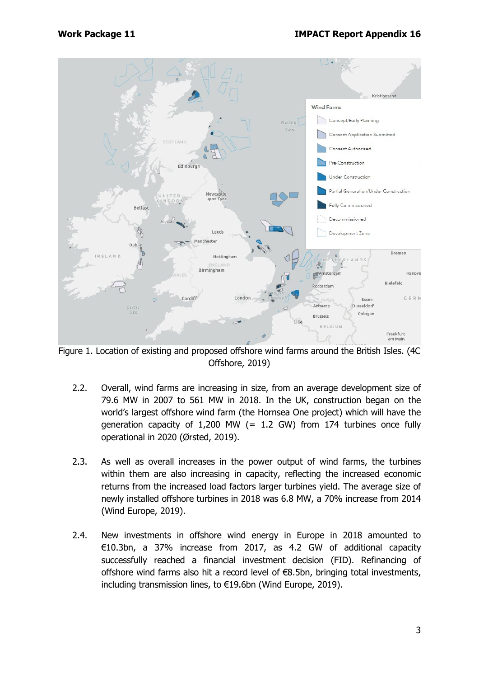

Figure 1. Location of existing and proposed offshore wind farms around the British Isles. (4C Offshore, 2019)

- 2.2. Overall, wind farms are increasing in size, from an average development size of 79.6 MW in 2007 to 561 MW in 2018. In the UK, construction began on the world's largest offshore wind farm (the Hornsea One project) which will have the generation capacity of 1,200 MW (= 1.2 GW) from 174 turbines once fully operational in 2020 (Ørsted, 2019).
- 2.3. As well as overall increases in the power output of wind farms, the turbines within them are also increasing in capacity, reflecting the increased economic returns from the increased load factors larger turbines yield. The average size of newly installed offshore turbines in 2018 was 6.8 MW, a 70% increase from 2014 (Wind Europe, 2019).
- 2.4. New investments in offshore wind energy in Europe in 2018 amounted to €10.3bn, a 37% increase from 2017, as 4.2 GW of additional capacity successfully reached a financial investment decision (FID). Refinancing of offshore wind farms also hit a record level of €8.5bn, bringing total investments, including transmission lines, to €19.6bn (Wind Europe, 2019).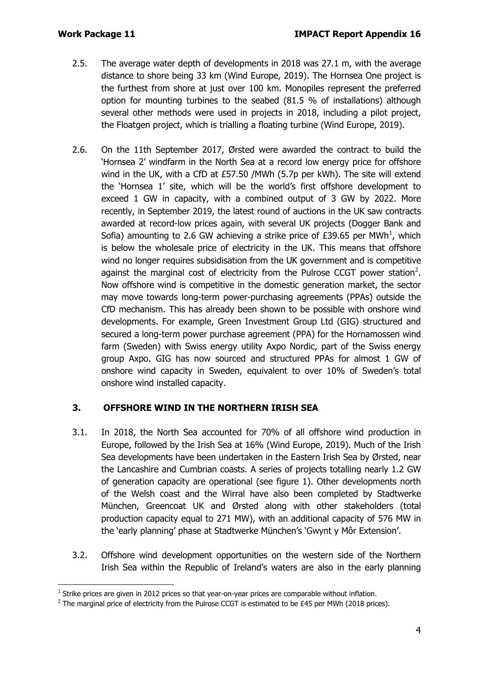- 2.5. The average water depth of developments in 2018 was 27.1 m, with the average distance to shore being 33 km (Wind Europe, 2019). The Hornsea One project is the furthest from shore at just over 100 km. Monopiles represent the preferred option for mounting turbines to the seabed (81.5 % of installations) although several other methods were used in projects in 2018, including a pilot project, the Floatgen project, which is trialling a floating turbine (Wind Europe, 2019).
- 2.6. On the 11th September 2017, Ørsted were awarded the contract to build the 'Hornsea 2' windfarm in the North Sea at a record low energy price for offshore wind in the UK, with a CfD at £57.50 /MWh (5.7p per kWh). The site will extend the 'Hornsea 1' site, which will be the world's first offshore development to exceed 1 GW in capacity, with a combined output of 3 GW by 2022. More recently, in September 2019, the latest round of auctions in the UK saw contracts awarded at record-low prices again, with several UK projects (Dogger Bank and Sofia) amounting to 2.6 GW achieving a strike price of £39.65 per MWh<sup>[1](#page-3-0)</sup>, which is below the wholesale price of electricity in the UK. This means that offshore wind no longer requires subsidisation from the UK government and is competitive against the marginal cost of electricity from the Pulrose CCGT power station<sup>[2](#page-3-1)</sup>. Now offshore wind is competitive in the domestic generation market, the sector may move towards long-term power-purchasing agreements (PPAs) outside the CfD mechanism. This has already been shown to be possible with onshore wind developments. For example, Green Investment Group Ltd (GIG) structured and secured a long-term power purchase agreement (PPA) for the Hornamossen wind farm (Sweden) with Swiss energy utility Axpo Nordic, part of the Swiss energy group Axpo. GIG has now sourced and structured PPAs for almost 1 GW of onshore wind capacity in Sweden, equivalent to over 10% of Sweden's total onshore wind installed capacity.

# **3. OFFSHORE WIND IN THE NORTHERN IRISH SEA**

- 3.1. In 2018, the North Sea accounted for 70% of all offshore wind production in Europe, followed by the Irish Sea at 16% (Wind Europe, 2019). Much of the Irish Sea developments have been undertaken in the Eastern Irish Sea by Ørsted, near the Lancashire and Cumbrian coasts. A series of projects totalling nearly 1.2 GW of generation capacity are operational (see figure 1). Other developments north of the Welsh coast and the Wirral have also been completed by Stadtwerke München, Greencoat UK and Ørsted along with other stakeholders (total production capacity equal to 271 MW), with an additional capacity of 576 MW in the 'early planning' phase at Stadtwerke München's 'Gwynt y Môr Extension'.
- 3.2. Offshore wind development opportunities on the western side of the Northern Irish Sea within the Republic of Ireland's waters are also in the early planning

<span id="page-3-0"></span> $1$  Strike prices are given in 2012 prices so that year-on-year prices are comparable without inflation.

<span id="page-3-1"></span><sup>&</sup>lt;sup>2</sup> The marginal price of electricity from the Pulrose CCGT is estimated to be £45 per MWh (2018 prices).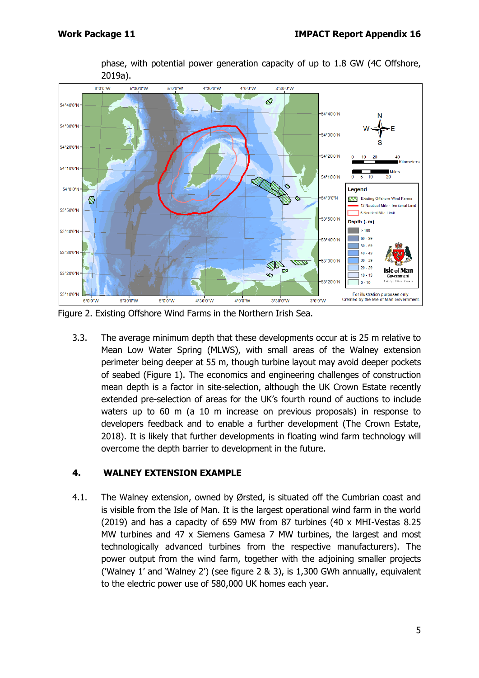

phase, with potential power generation capacity of up to 1.8 GW (4C Offshore, 2019a).

Figure 2. Existing Offshore Wind Farms in the Northern Irish Sea.

3.3. The average minimum depth that these developments occur at is 25 m relative to Mean Low Water Spring (MLWS), with small areas of the Walney extension perimeter being deeper at 55 m, though turbine layout may avoid deeper pockets of seabed (Figure 1). The economics and engineering challenges of construction mean depth is a factor in site-selection, although the UK Crown Estate recently extended pre-selection of areas for the UK's fourth round of auctions to include waters up to 60 m (a 10 m increase on previous proposals) in response to developers feedback and to enable a further development (The Crown Estate, 2018). It is likely that further developments in floating wind farm technology will overcome the depth barrier to development in the future.

# **4. WALNEY EXTENSION EXAMPLE**

4.1. The Walney extension, owned by Ørsted, is situated off the Cumbrian coast and is visible from the Isle of Man. It is the largest operational wind farm in the world (2019) and has a capacity of 659 MW from 87 turbines (40 x MHI-Vestas 8.25 MW turbines and 47 x Siemens Gamesa 7 MW turbines, the largest and most technologically advanced turbines from the respective manufacturers). The power output from the wind farm, together with the adjoining smaller projects ('Walney 1' and 'Walney 2') (see figure 2 & 3), is 1,300 GWh annually, equivalent to the electric power use of 580,000 UK homes each year.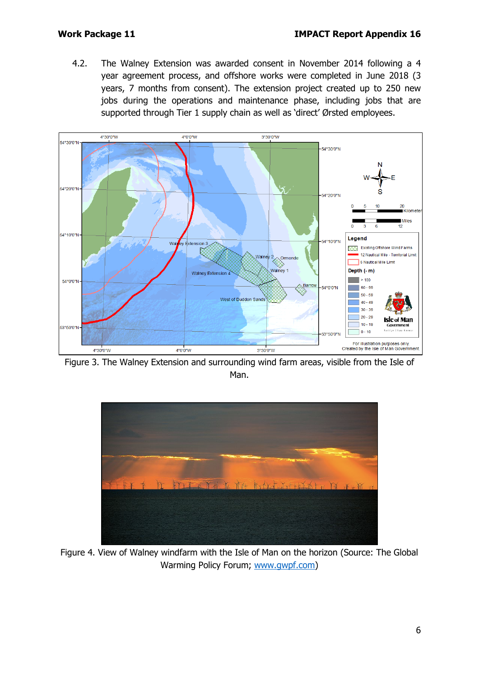4.2. The Walney Extension was awarded consent in November 2014 following a 4 year agreement process, and offshore works were completed in June 2018 (3 years, 7 months from consent). The extension project created up to 250 new jobs during the operations and maintenance phase, including jobs that are supported through Tier 1 supply chain as well as 'direct' Ørsted employees.



Figure 3. The Walney Extension and surrounding wind farm areas, visible from the Isle of Man.



Figure 4. View of Walney windfarm with the Isle of Man on the horizon (Source: The Global Warming Policy Forum; [www.gwpf.com\)](http://www.gwpf.com/)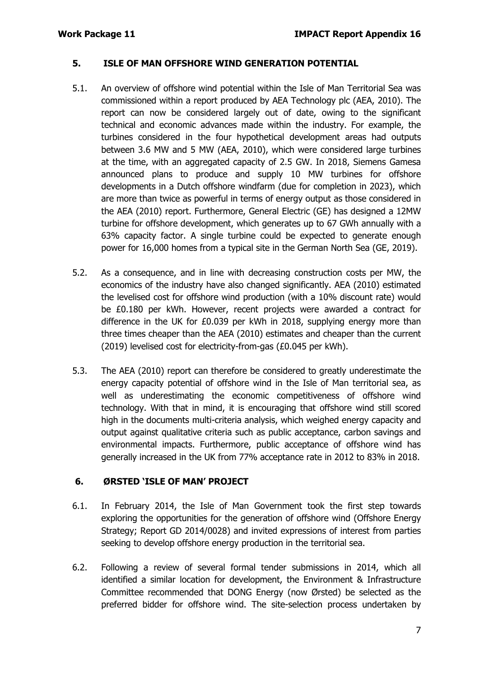#### **5. ISLE OF MAN OFFSHORE WIND GENERATION POTENTIAL**

- 5.1. An overview of offshore wind potential within the Isle of Man Territorial Sea was commissioned within a report produced by AEA Technology plc (AEA, 2010). The report can now be considered largely out of date, owing to the significant technical and economic advances made within the industry. For example, the turbines considered in the four hypothetical development areas had outputs between 3.6 MW and 5 MW (AEA, 2010), which were considered large turbines at the time, with an aggregated capacity of 2.5 GW. In 2018, Siemens Gamesa announced plans to produce and supply 10 MW turbines for offshore developments in a Dutch offshore windfarm (due for completion in 2023), which are more than twice as powerful in terms of energy output as those considered in the AEA (2010) report. Furthermore, General Electric (GE) has designed a 12MW turbine for offshore development, which generates up to 67 GWh annually with a 63% capacity factor. A single turbine could be expected to generate enough power for 16,000 homes from a typical site in the German North Sea (GE, 2019).
- 5.2. As a consequence, and in line with decreasing construction costs per MW, the economics of the industry have also changed significantly. AEA (2010) estimated the levelised cost for offshore wind production (with a 10% discount rate) would be £0.180 per kWh. However, recent projects were awarded a contract for difference in the UK for £0.039 per kWh in 2018, supplying energy more than three times cheaper than the AEA (2010) estimates and cheaper than the current (2019) levelised cost for electricity-from-gas (£0.045 per kWh).
- 5.3. The AEA (2010) report can therefore be considered to greatly underestimate the energy capacity potential of offshore wind in the Isle of Man territorial sea, as well as underestimating the economic competitiveness of offshore wind technology. With that in mind, it is encouraging that offshore wind still scored high in the documents multi-criteria analysis, which weighed energy capacity and output against qualitative criteria such as public acceptance, carbon savings and environmental impacts. Furthermore, public acceptance of offshore wind has generally increased in the UK from 77% acceptance rate in 2012 to 83% in 2018.

#### **6. ØRSTED 'ISLE OF MAN' PROJECT**

- 6.1. In February 2014, the Isle of Man Government took the first step towards exploring the opportunities for the generation of offshore wind (Offshore Energy Strategy; Report GD 2014/0028) and invited expressions of interest from parties seeking to develop offshore energy production in the territorial sea.
- 6.2. Following a review of several formal tender submissions in 2014, which all identified a similar location for development, the Environment & Infrastructure Committee recommended that DONG Energy (now Ørsted) be selected as the preferred bidder for offshore wind. The site-selection process undertaken by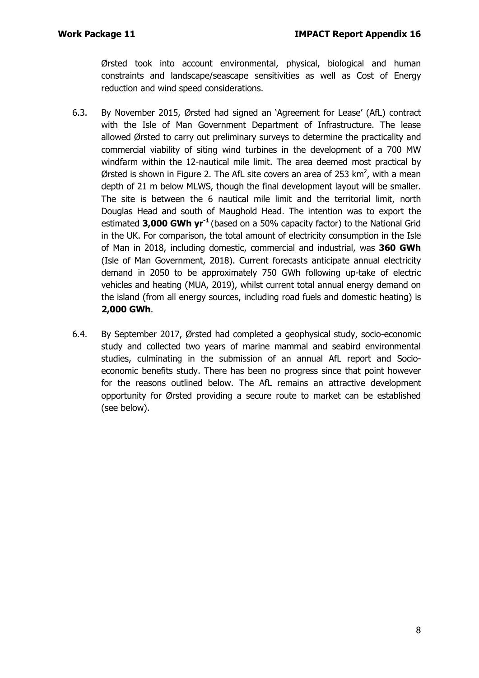Ørsted took into account environmental, physical, biological and human constraints and landscape/seascape sensitivities as well as Cost of Energy reduction and wind speed considerations.

- 6.3. By November 2015, Ørsted had signed an 'Agreement for Lease' (AfL) contract with the Isle of Man Government Department of Infrastructure. The lease allowed Ørsted to carry out preliminary surveys to determine the practicality and commercial viability of siting wind turbines in the development of a 700 MW windfarm within the 12-nautical mile limit. The area deemed most practical by Ørsted is shown in Figure 2. The AfL site covers an area of 253 km<sup>2</sup>, with a mean depth of 21 m below MLWS, though the final development layout will be smaller. The site is between the 6 nautical mile limit and the territorial limit, north Douglas Head and south of Maughold Head. The intention was to export the estimated **3,000 GWh yr-1** (based on a 50% capacity factor) to the National Grid in the UK. For comparison, the total amount of electricity consumption in the Isle of Man in 2018, including domestic, commercial and industrial, was **360 GWh**  (Isle of Man Government, 2018). Current forecasts anticipate annual electricity demand in 2050 to be approximately 750 GWh following up-take of electric vehicles and heating (MUA, 2019), whilst current total annual energy demand on the island (from all energy sources, including road fuels and domestic heating) is **2,000 GWh**.
- 6.4. By September 2017, Ørsted had completed a geophysical study, socio-economic study and collected two years of marine mammal and seabird environmental studies, culminating in the submission of an annual AfL report and Socioeconomic benefits study. There has been no progress since that point however for the reasons outlined below. The AfL remains an attractive development opportunity for Ørsted providing a secure route to market can be established (see below).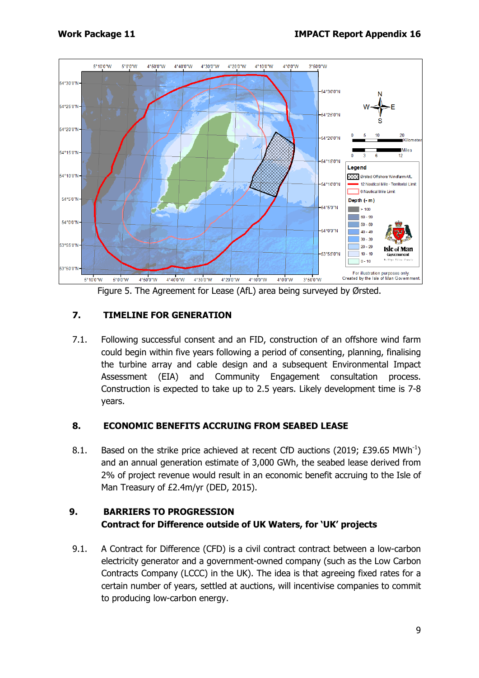

Figure 5. The Agreement for Lease (AfL) area being surveyed by Ørsted.

## **7. TIMELINE FOR GENERATION**

7.1. Following successful consent and an FID, construction of an offshore wind farm could begin within five years following a period of consenting, planning, finalising the turbine array and cable design and a subsequent Environmental Impact Assessment (EIA) and Community Engagement consultation process. Construction is expected to take up to 2.5 years. Likely development time is 7-8 years.

#### **8. ECONOMIC BENEFITS ACCRUING FROM SEABED LEASE**

8.1. Based on the strike price achieved at recent CfD auctions (2019; £39.65 MWh<sup>-1</sup>) and an annual generation estimate of 3,000 GWh, the seabed lease derived from 2% of project revenue would result in an economic benefit accruing to the Isle of Man Treasury of £2.4m/yr (DED, 2015).

# **9. BARRIERS TO PROGRESSION Contract for Difference outside of UK Waters, for 'UK' projects**

9.1. A Contract for Difference (CFD) is a civil contract contract between a low-carbon electricity generator and a government-owned company (such as the Low Carbon Contracts Company (LCCC) in the UK). The idea is that agreeing fixed rates for a certain number of years, settled at auctions, will incentivise companies to commit to producing low-carbon energy.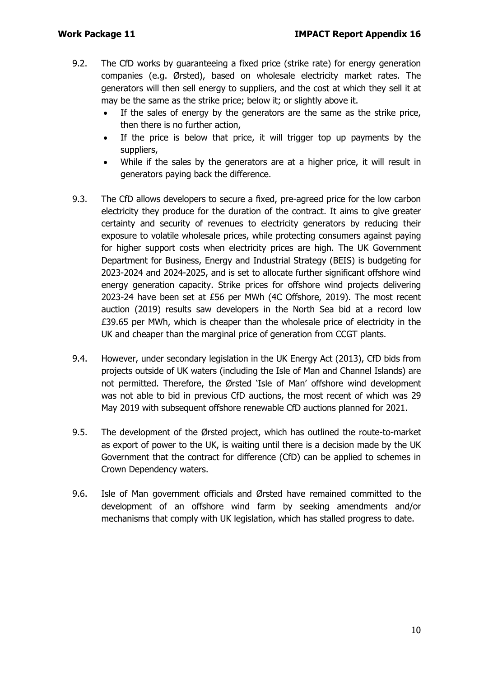- 9.2. The CfD works by guaranteeing a fixed price (strike rate) for energy generation companies (e.g. Ørsted), based on wholesale electricity market rates. The generators will then sell energy to suppliers, and the cost at which they sell it at may be the same as the strike price; below it; or slightly above it.
	- If the sales of energy by the generators are the same as the strike price, then there is no further action,
	- If the price is below that price, it will trigger top up payments by the suppliers,
	- While if the sales by the generators are at a higher price, it will result in generators paying back the difference.
- 9.3. The CfD allows developers to secure a fixed, pre-agreed price for the low carbon electricity they produce for the duration of the contract. It aims to give greater certainty and security of revenues to electricity generators by reducing their exposure to volatile wholesale prices, while protecting consumers against paying for higher support costs when electricity prices are high. The UK Government Department for Business, Energy and Industrial Strategy (BEIS) is budgeting for 2023-2024 and 2024-2025, and is set to allocate further significant offshore wind energy generation capacity. Strike prices for offshore wind projects delivering 2023-24 have been set at £56 per MWh (4C Offshore, 2019). The most recent auction (2019) results saw developers in the North Sea bid at a record low £39.65 per MWh, which is cheaper than the wholesale price of electricity in the UK and cheaper than the marginal price of generation from CCGT plants.
- 9.4. However, under secondary legislation in the UK Energy Act (2013), CfD bids from projects outside of UK waters (including the Isle of Man and Channel Islands) are not permitted. Therefore, the Ørsted 'Isle of Man' offshore wind development was not able to bid in previous CfD auctions, the most recent of which was 29 May 2019 with subsequent offshore renewable CfD auctions planned for 2021.
- 9.5. The development of the Ørsted project, which has outlined the route-to-market as export of power to the UK, is waiting until there is a decision made by the UK Government that the contract for difference (CfD) can be applied to schemes in Crown Dependency waters.
- 9.6. Isle of Man government officials and Ørsted have remained committed to the development of an offshore wind farm by seeking amendments and/or mechanisms that comply with UK legislation, which has stalled progress to date.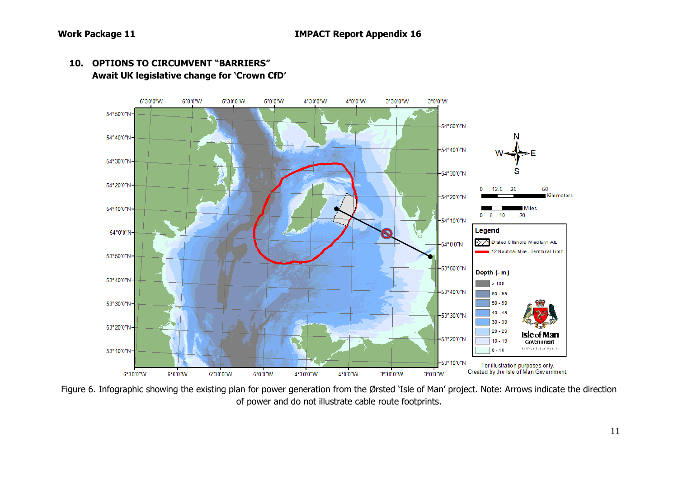

#### **10. OPTIONS TO CIRCUMVENT "BARRIERS" Await UK legislative change for 'Crown CfD'**

Figure 6. Infographic showing the existing plan for power generation from the Ørsted 'Isle of Man' project. Note: Arrows indicate the direction of power and do not illustrate cable route footprints.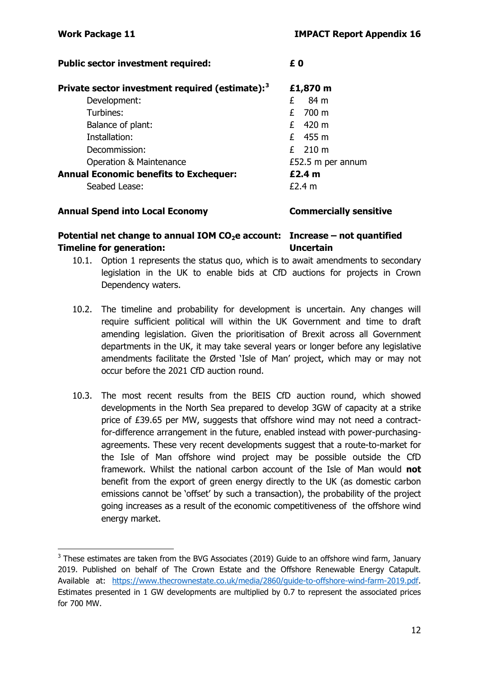| <b>Public sector investment required:</b>                   | £Ο                |
|-------------------------------------------------------------|-------------------|
| Private sector investment required (estimate): <sup>3</sup> | £1,870 m          |
| Development:                                                | 84 m<br>£         |
| Turbines:                                                   | 700 m<br>£        |
| Balance of plant:                                           | $£$ 420 m         |
| Installation:                                               | $£$ 455 m         |
| Decommission:                                               | $£$ 210 m         |
| <b>Operation &amp; Maintenance</b>                          | £52.5 m per annum |
| <b>Annual Economic benefits to Exchequer:</b>               | £2.4 <sub>m</sub> |
| Seabed Lease:                                               | £2.4 m            |

#### **Annual Spend into Local Economy Commercially sensitive**

## Potential net change to annual IOM CO<sub>2</sub>e account: Increase – not quantified **Timeline for generation: Uncertain**

- 10.1. Option 1 represents the status quo, which is to await amendments to secondary legislation in the UK to enable bids at CfD auctions for projects in Crown Dependency waters.
- 10.2. The timeline and probability for development is uncertain. Any changes will require sufficient political will within the UK Government and time to draft amending legislation. Given the prioritisation of Brexit across all Government departments in the UK, it may take several years or longer before any legislative amendments facilitate the Ørsted 'Isle of Man' project, which may or may not occur before the 2021 CfD auction round.
- 10.3. The most recent results from the BEIS CfD auction round, which showed developments in the North Sea prepared to develop 3GW of capacity at a strike price of £39.65 per MW, suggests that offshore wind may not need a contractfor-difference arrangement in the future, enabled instead with power-purchasingagreements. These very recent developments suggest that a route-to-market for the Isle of Man offshore wind project may be possible outside the CfD framework. Whilst the national carbon account of the Isle of Man would **not** benefit from the export of green energy directly to the UK (as domestic carbon emissions cannot be 'offset' by such a transaction), the probability of the project going increases as a result of the economic competitiveness of the offshore wind energy market.

<span id="page-11-0"></span> $3$  These estimates are taken from the BVG Associates (2019) Guide to an offshore wind farm, January 2019. Published on behalf of The Crown Estate and the Offshore Renewable Energy Catapult. Available at: [https://www.thecrownestate.co.uk/media/2860/guide-to-offshore-wind-farm-2019.pdf.](https://www.thecrownestate.co.uk/media/2860/guide-to-offshore-wind-farm-2019.pdf) Estimates presented in 1 GW developments are multiplied by 0.7 to represent the associated prices for 700 MW.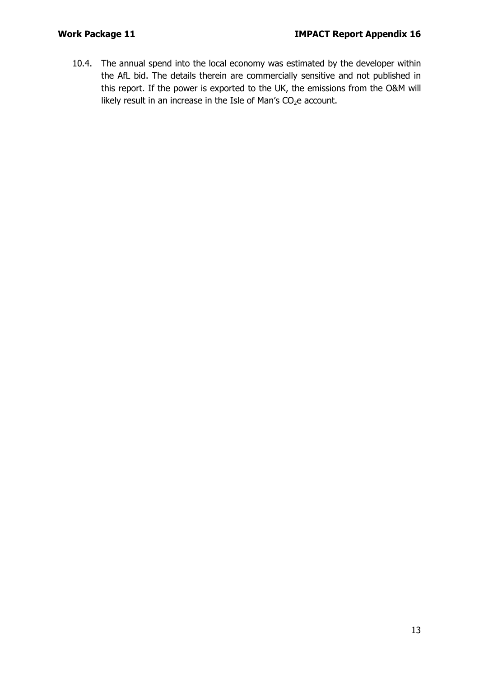10.4. The annual spend into the local economy was estimated by the developer within the AfL bid. The details therein are commercially sensitive and not published in this report. If the power is exported to the UK, the emissions from the O&M will likely result in an increase in the Isle of Man's  $CO<sub>2</sub>e$  account.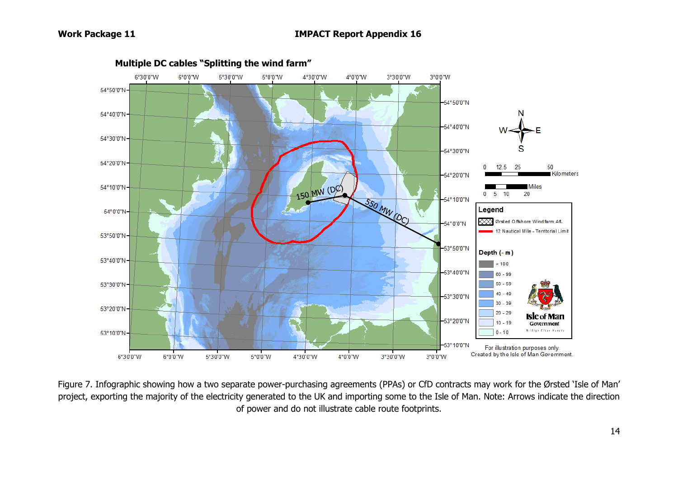

Figure 7. Infographic showing how a two separate power-purchasing agreements (PPAs) or CfD contracts may work for the Ørsted 'Isle of Man' project, exporting the majority of the electricity generated to the UK and importing some to the Isle of Man. Note: Arrows indicate the direction of power and do not illustrate cable route footprints.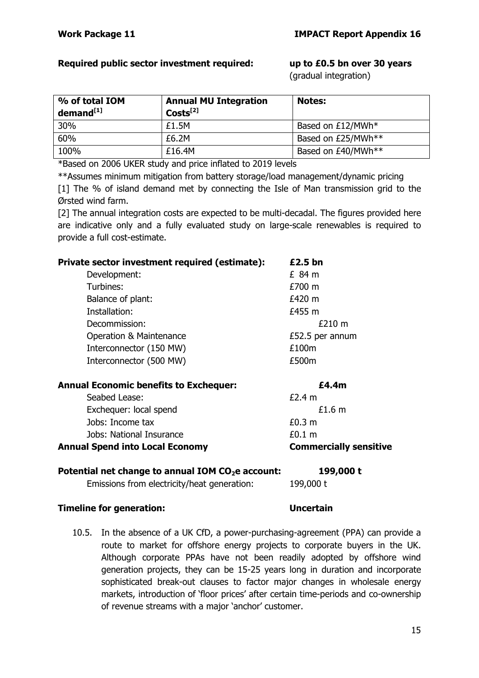### **Required public sector investment required: up to £0.5 bn over 30 years**

(gradual integration)

| % of total IOM<br>demand <sup>[1]</sup> | <b>Annual MU Integration</b><br>$Costs^{[2]}$ | <b>Notes:</b>      |
|-----------------------------------------|-----------------------------------------------|--------------------|
| 30%                                     | £1.5M                                         | Based on £12/MWh*  |
| 60%                                     | £6.2M                                         | Based on £25/MWh** |
| 100%                                    | £16.4M                                        | Based on £40/MWh** |

\*Based on 2006 UKER study and price inflated to 2019 levels

\*\*Assumes minimum mitigation from battery storage/load management/dynamic pricing [1] The % of island demand met by connecting the Isle of Man transmission grid to the Ørsted wind farm.

[2] The annual integration costs are expected to be multi-decadal. The figures provided here are indicative only and a fully evaluated study on large-scale renewables is required to provide a full cost-estimate.

| Private sector investment required (estimate): | £2.5 bn           |
|------------------------------------------------|-------------------|
| Development:                                   | £84 m             |
| Turbines:                                      | £700 m            |
| Balance of plant:                              | £420 m            |
| Installation:                                  | £455 m            |
| Decommission:                                  | £210 m            |
| <b>Operation &amp; Maintenance</b>             | £52.5 per annum   |
| Interconnector (150 MW)                        | £100m             |
| Interconnector (500 MW)                        | £500m             |
| <b>Annual Economic benefits to Exchequer:</b>  | £4.4m             |
| Seabed Lease:                                  | £2.4 m            |
| Exchequer: local spend                         | £1.6 <sub>m</sub> |
| Jobs: Income tax                               | £0.3 <sub>m</sub> |
| Jobs: National Insurance                       | £0.1 m            |

# **Annual Spend into Local Economy Commercially sensitive**

| Potential net change to annual IOM $CO2e$ account: | 199,000 t |
|----------------------------------------------------|-----------|
| Emissions from electricity/heat generation:        | 199,000 t |

#### **Timeline for generation: Uncertain**

10.5. In the absence of a UK CfD, a power-purchasing-agreement (PPA) can provide a route to market for offshore energy projects to corporate buyers in the UK. Although corporate PPAs have not been readily adopted by offshore wind generation projects, they can be 15-25 years long in duration and incorporate sophisticated break-out clauses to factor major changes in wholesale energy markets, introduction of 'floor prices' after certain time-periods and co-ownership of revenue streams with a major 'anchor' customer.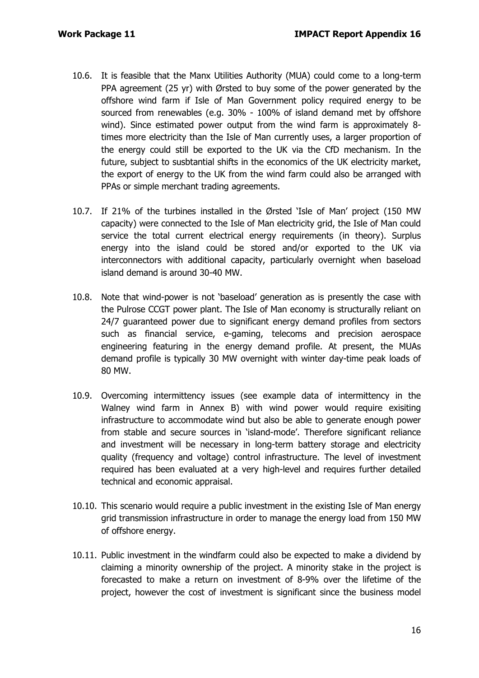- 10.6. It is feasible that the Manx Utilities Authority (MUA) could come to a long-term PPA agreement (25 yr) with Ørsted to buy some of the power generated by the offshore wind farm if Isle of Man Government policy required energy to be sourced from renewables (e.g. 30% - 100% of island demand met by offshore wind). Since estimated power output from the wind farm is approximately 8 times more electricity than the Isle of Man currently uses, a larger proportion of the energy could still be exported to the UK via the CfD mechanism. In the future, subject to susbtantial shifts in the economics of the UK electricity market, the export of energy to the UK from the wind farm could also be arranged with PPAs or simple merchant trading agreements.
- 10.7. If 21% of the turbines installed in the Ørsted 'Isle of Man' project (150 MW capacity) were connected to the Isle of Man electricity grid, the Isle of Man could service the total current electrical energy requirements (in theory). Surplus energy into the island could be stored and/or exported to the UK via interconnectors with additional capacity, particularly overnight when baseload island demand is around 30-40 MW.
- 10.8. Note that wind-power is not 'baseload' generation as is presently the case with the Pulrose CCGT power plant. The Isle of Man economy is structurally reliant on 24/7 guaranteed power due to significant energy demand profiles from sectors such as financial service, e-gaming, telecoms and precision aerospace engineering featuring in the energy demand profile. At present, the MUAs demand profile is typically 30 MW overnight with winter day-time peak loads of 80 MW.
- 10.9. Overcoming intermittency issues (see example data of intermittency in the Walney wind farm in Annex B) with wind power would require exisiting infrastructure to accommodate wind but also be able to generate enough power from stable and secure sources in 'island-mode'. Therefore significant reliance and investment will be necessary in long-term battery storage and electricity quality (frequency and voltage) control infrastructure. The level of investment required has been evaluated at a very high-level and requires further detailed technical and economic appraisal.
- 10.10. This scenario would require a public investment in the existing Isle of Man energy grid transmission infrastructure in order to manage the energy load from 150 MW of offshore energy.
- 10.11. Public investment in the windfarm could also be expected to make a dividend by claiming a minority ownership of the project. A minority stake in the project is forecasted to make a return on investment of 8-9% over the lifetime of the project, however the cost of investment is significant since the business model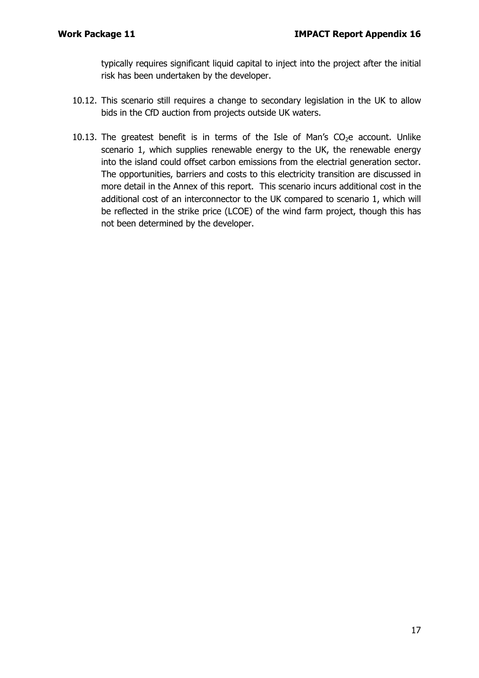typically requires significant liquid capital to inject into the project after the initial risk has been undertaken by the developer.

- 10.12. This scenario still requires a change to secondary legislation in the UK to allow bids in the CfD auction from projects outside UK waters.
- 10.13. The greatest benefit is in terms of the Isle of Man's  $CO<sub>2</sub>e$  account. Unlike scenario 1, which supplies renewable energy to the UK, the renewable energy into the island could offset carbon emissions from the electrial generation sector. The opportunities, barriers and costs to this electricity transition are discussed in more detail in the Annex of this report. This scenario incurs additional cost in the additional cost of an interconnector to the UK compared to scenario 1, which will be reflected in the strike price (LCOE) of the wind farm project, though this has not been determined by the developer.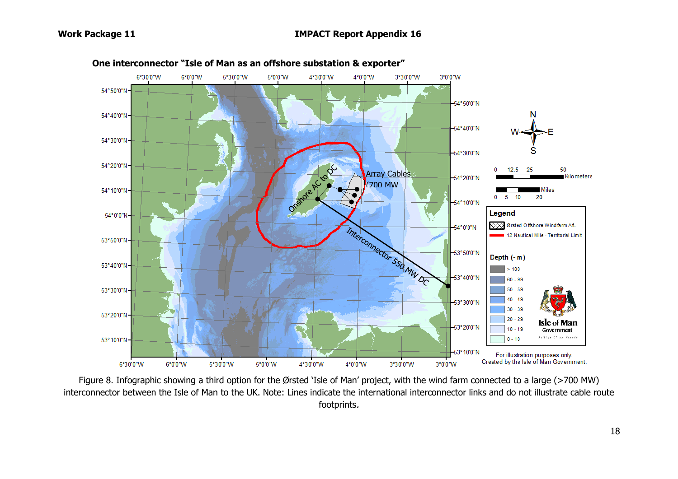

Figure 8. Infographic showing a third option for the Ørsted 'Isle of Man' project, with the wind farm connected to a large (>700 MW) interconnector between the Isle of Man to the UK. Note: Lines indicate the international interconnector links and do not illustrate cable route footprints.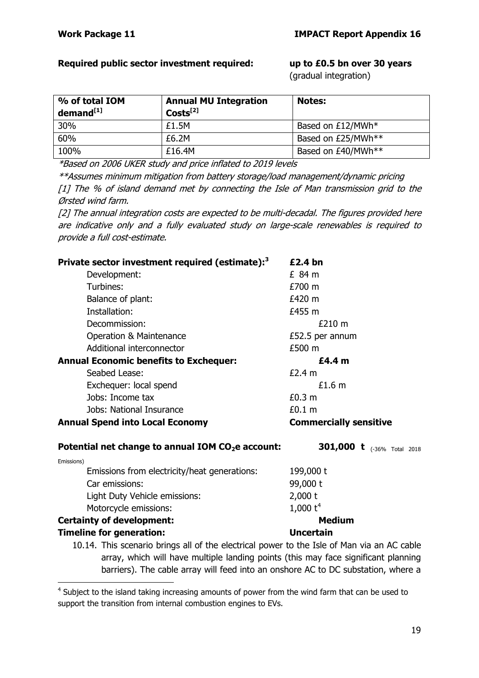## **Required public sector investment required: up to £0.5 bn over 30 years**

(gradual integration)

| % of total IOM<br>demand <sup>[1]</sup> | <b>Annual MU Integration</b><br>$Costs^{[2]}$ | <b>Notes:</b>      |
|-----------------------------------------|-----------------------------------------------|--------------------|
| 30%                                     | £1.5M                                         | Based on £12/MWh*  |
| 60%                                     | £6.2M                                         | Based on £25/MWh** |
| 100%                                    | £16.4M                                        | Based on £40/MWh** |

\*Based on 2006 UKER study and price inflated to 2019 levels

\*\*Assumes minimum mitigation from battery storage/load management/dynamic pricing [1] The % of island demand met by connecting the Isle of Man transmission grid to the Ørsted wind farm.

[2] The annual integration costs are expected to be multi-decadal. The figures provided here are indicative only and a fully evaluated study on large-scale renewables is required to provide a full cost-estimate.

| Private sector investment required (estimate): <sup>3</sup>                                                                                                             | £2.4 bn                           |
|-------------------------------------------------------------------------------------------------------------------------------------------------------------------------|-----------------------------------|
| Development:                                                                                                                                                            | £ 84 m                            |
| Turbines:                                                                                                                                                               | £700 m                            |
| Balance of plant:                                                                                                                                                       | £420 m                            |
| Installation:                                                                                                                                                           | £455 m                            |
| Decommission:                                                                                                                                                           | £210 m                            |
| Operation & Maintenance                                                                                                                                                 | £52.5 per annum                   |
| Additional interconnector                                                                                                                                               | £500 m                            |
| <b>Annual Economic benefits to Exchequer:</b>                                                                                                                           | £4.4 m                            |
| Seabed Lease:                                                                                                                                                           | £2.4 m                            |
| Exchequer: local spend                                                                                                                                                  | £1.6 m                            |
| Jobs: Income tax                                                                                                                                                        | £0.3 m                            |
| Jobs: National Insurance                                                                                                                                                | £0.1 <sub>m</sub>                 |
|                                                                                                                                                                         |                                   |
| <b>Annual Spend into Local Economy</b>                                                                                                                                  | <b>Commercially sensitive</b>     |
| Potential net change to annual IOM CO <sub>2</sub> e account:                                                                                                           | <b>301,000 t</b> (-36% Total 2018 |
| Emissions)                                                                                                                                                              |                                   |
| Emissions from electricity/heat generations:                                                                                                                            | 199,000 t                         |
| Car emissions:                                                                                                                                                          | 99,000 t                          |
| Light Duty Vehicle emissions:                                                                                                                                           | $2,000$ t                         |
| Motorcycle emissions:                                                                                                                                                   | 1,000 $t^4$                       |
| <b>Certainty of development:</b>                                                                                                                                        | <b>Medium</b>                     |
| <b>Timeline for generation:</b>                                                                                                                                         | <b>Uncertain</b>                  |
| 10.14. This scenario brings all of the electrical power to the Isle of Man via an AC cable                                                                              |                                   |
| array, which will have multiple landing points (this may face significant planning<br>barriers). The cable array will feed into an onshore AC to DC substation, where a |                                   |

<span id="page-18-0"></span><sup>&</sup>lt;sup>4</sup> Subject to the island taking increasing amounts of power from the wind farm that can be used to support the transition from internal combustion engines to EVs.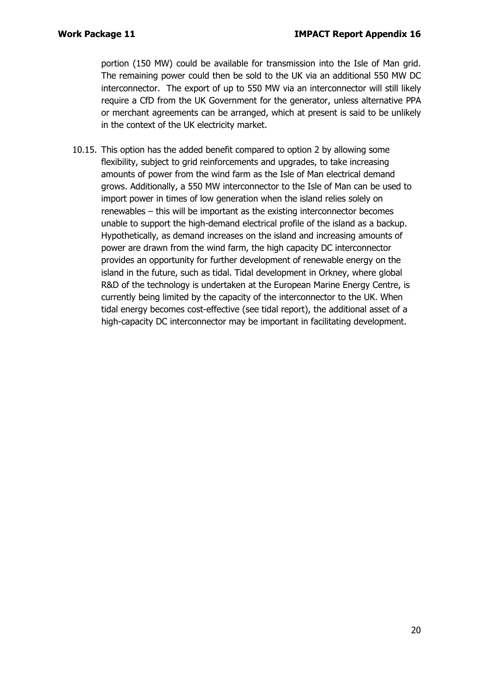portion (150 MW) could be available for transmission into the Isle of Man grid. The remaining power could then be sold to the UK via an additional 550 MW DC interconnector. The export of up to 550 MW via an interconnector will still likely require a CfD from the UK Government for the generator, unless alternative PPA or merchant agreements can be arranged, which at present is said to be unlikely in the context of the UK electricity market.

10.15. This option has the added benefit compared to option 2 by allowing some flexibility, subject to grid reinforcements and upgrades, to take increasing amounts of power from the wind farm as the Isle of Man electrical demand grows. Additionally, a 550 MW interconnector to the Isle of Man can be used to import power in times of low generation when the island relies solely on renewables – this will be important as the existing interconnector becomes unable to support the high-demand electrical profile of the island as a backup. Hypothetically, as demand increases on the island and increasing amounts of power are drawn from the wind farm, the high capacity DC interconnector provides an opportunity for further development of renewable energy on the island in the future, such as tidal. Tidal development in Orkney, where global R&D of the technology is undertaken at the European Marine Energy Centre, is currently being limited by the capacity of the interconnector to the UK. When tidal energy becomes cost-effective (see tidal report), the additional asset of a high-capacity DC interconnector may be important in facilitating development.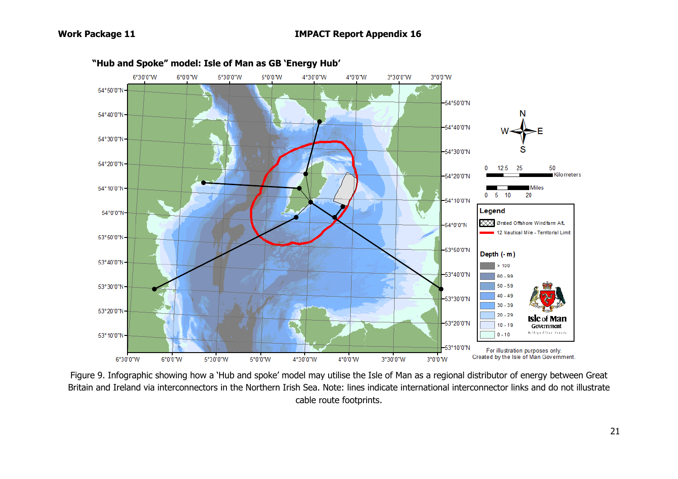

**"Hub and Spoke" model: Isle of Man as GB 'Energy Hub'**

Figure 9. Infographic showing how a 'Hub and spoke' model may utilise the Isle of Man as a regional distributor of energy between Great Britain and Ireland via interconnectors in the Northern Irish Sea. Note: lines indicate international interconnector links and do not illustrate cable route footprints.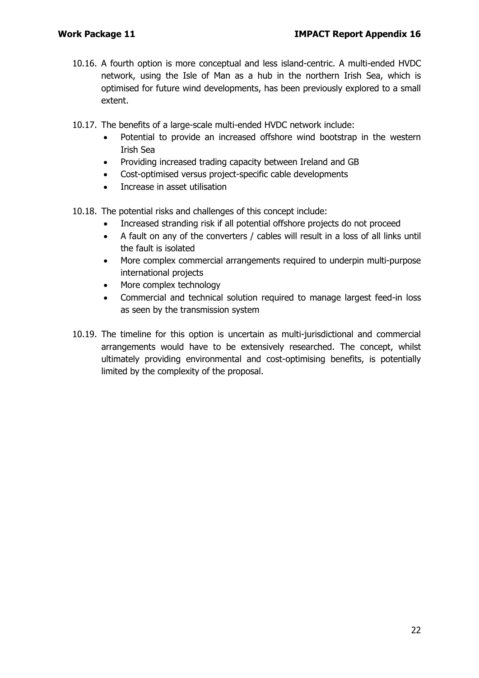- 10.16. A fourth option is more conceptual and less island-centric. A multi-ended HVDC network, using the Isle of Man as a hub in the northern Irish Sea, which is optimised for future wind developments, has been previously explored to a small extent.
- 10.17. The benefits of a large-scale multi-ended HVDC network include:
	- Potential to provide an increased offshore wind bootstrap in the western Irish Sea
	- Providing increased trading capacity between Ireland and GB
	- Cost-optimised versus project-specific cable developments
	- Increase in asset utilisation
- 10.18. The potential risks and challenges of this concept include:
	- Increased stranding risk if all potential offshore projects do not proceed
	- A fault on any of the converters / cables will result in a loss of all links until the fault is isolated
	- More complex commercial arrangements required to underpin multi-purpose international projects
	- More complex technology
	- Commercial and technical solution required to manage largest feed-in loss as seen by the transmission system
- 10.19. The timeline for this option is uncertain as multi-jurisdictional and commercial arrangements would have to be extensively researched. The concept, whilst ultimately providing environmental and cost-optimising benefits, is potentially limited by the complexity of the proposal.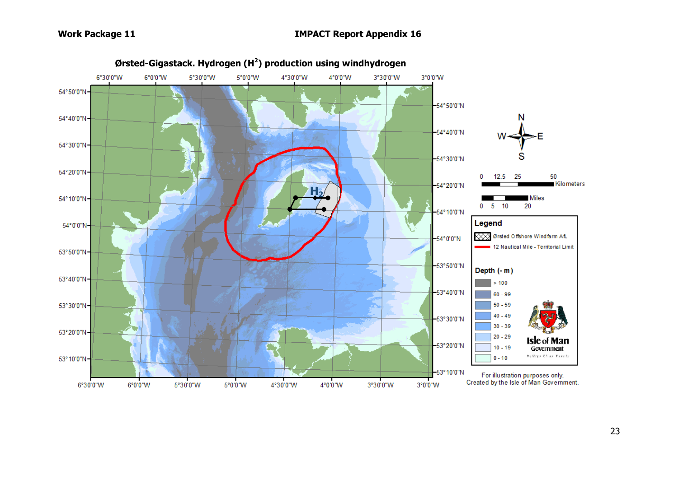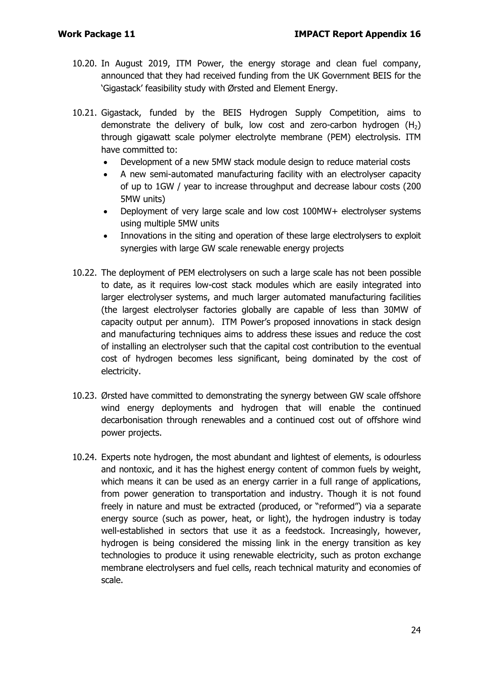- 10.20. In August 2019, ITM Power, the energy storage and clean fuel company, announced that they had received funding from the UK Government BEIS for the 'Gigastack' feasibility study with Ørsted and Element Energy.
- 10.21. Gigastack, funded by the BEIS Hydrogen Supply Competition, aims to demonstrate the delivery of bulk, low cost and zero-carbon hydrogen  $(H<sub>2</sub>)$ through gigawatt scale polymer electrolyte membrane (PEM) electrolysis. ITM have committed to:
	- Development of a new 5MW stack module design to reduce material costs
	- A new semi-automated manufacturing facility with an electrolyser capacity of up to 1GW / year to increase throughput and decrease labour costs (200 5MW units)
	- Deployment of very large scale and low cost 100MW+ electrolyser systems using multiple 5MW units
	- Innovations in the siting and operation of these large electrolysers to exploit synergies with large GW scale renewable energy projects
- 10.22. The deployment of PEM electrolysers on such a large scale has not been possible to date, as it requires low-cost stack modules which are easily integrated into larger electrolyser systems, and much larger automated manufacturing facilities (the largest electrolyser factories globally are capable of less than 30MW of capacity output per annum). ITM Power's proposed innovations in stack design and manufacturing techniques aims to address these issues and reduce the cost of installing an electrolyser such that the capital cost contribution to the eventual cost of hydrogen becomes less significant, being dominated by the cost of electricity.
- 10.23. Ørsted have committed to demonstrating the synergy between GW scale offshore wind energy deployments and hydrogen that will enable the continued decarbonisation through renewables and a continued cost out of offshore wind power projects.
- 10.24. Experts note hydrogen, the most abundant and lightest of elements, is odourless and nontoxic, and it has the highest energy content of common fuels by weight, which means it can be used as an energy carrier in a full range of applications, from power generation to transportation and industry. Though it is not found freely in nature and must be extracted (produced, or "reformed") via a separate energy source (such as power, heat, or light), the hydrogen industry is today well-established in sectors that use it as a feedstock. Increasingly, however, hydrogen is being considered the missing link in the energy transition as key technologies to produce it using renewable electricity, such as proton exchange membrane electrolysers and fuel cells, reach technical maturity and economies of scale.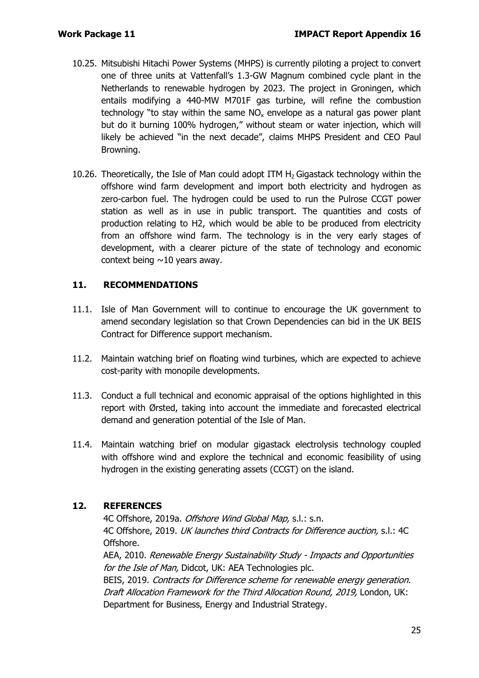- 10.25. Mitsubishi Hitachi Power Systems (MHPS) is currently piloting a project to convert one of three units at Vattenfall's 1.3-GW Magnum combined cycle plant in the Netherlands to renewable hydrogen by 2023. The project in Groningen, which entails modifying a 440-MW M701F gas turbine, will refine the combustion technology "to stay within the same  $NO<sub>x</sub>$  envelope as a natural gas power plant but do it burning 100% hydrogen," without steam or water injection, which will likely be achieved "in the next decade", claims MHPS President and CEO Paul Browning.
- 10.26. Theoretically, the Isle of Man could adopt ITM  $H<sub>2</sub>$  Gigastack technology within the offshore wind farm development and import both electricity and hydrogen as zero-carbon fuel. The hydrogen could be used to run the Pulrose CCGT power station as well as in use in public transport. The quantities and costs of production relating to H2, which would be able to be produced from electricity from an offshore wind farm. The technology is in the very early stages of development, with a clearer picture of the state of technology and economic context being  $\sim$ 10 years away.

# **11. RECOMMENDATIONS**

- 11.1. Isle of Man Government will to continue to encourage the UK government to amend secondary legislation so that Crown Dependencies can bid in the UK BEIS Contract for Difference support mechanism.
- 11.2. Maintain watching brief on floating wind turbines, which are expected to achieve cost-parity with monopile developments.
- 11.3. Conduct a full technical and economic appraisal of the options highlighted in this report with Ørsted, taking into account the immediate and forecasted electrical demand and generation potential of the Isle of Man.
- 11.4. Maintain watching brief on modular gigastack electrolysis technology coupled with offshore wind and explore the technical and economic feasibility of using hydrogen in the existing generating assets (CCGT) on the island.

# **12. REFERENCES**

4C Offshore, 2019a. Offshore Wind Global Map, s.l.: s.n. 4C Offshore, 2019. UK launches third Contracts for Difference auction, s.l.: 4C Offshore. AEA, 2010. Renewable Energy Sustainability Study - Impacts and Opportunities for the Isle of Man, Didcot, UK: AEA Technologies plc. BEIS, 2019. Contracts for Difference scheme for renewable energy generation. Draft Allocation Framework for the Third Allocation Round, 2019, London, UK: Department for Business, Energy and Industrial Strategy.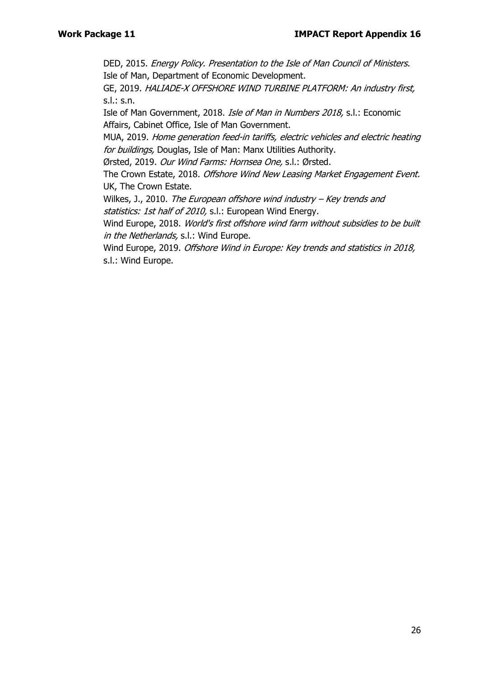DED, 2015. Energy Policy. Presentation to the Isle of Man Council of Ministers. Isle of Man, Department of Economic Development.

GE, 2019. HALIADE-X OFFSHORE WIND TURBINE PLATFORM: An industry first, s.l.: s.n.

Isle of Man Government, 2018. Isle of Man in Numbers 2018, s.l.: Economic Affairs, Cabinet Office, Isle of Man Government.

MUA, 2019. Home generation feed-in tariffs, electric vehicles and electric heating for buildings, Douglas, Isle of Man: Manx Utilities Authority.

Ørsted, 2019. Our Wind Farms: Hornsea One, s.l.: Ørsted.

The Crown Estate, 2018. Offshore Wind New Leasing Market Engagement Event. UK, The Crown Estate.

Wilkes, J., 2010. The European offshore wind industry  $-$  Key trends and statistics: 1st half of 2010, s.l.: European Wind Energy.

Wind Europe, 2018. World's first offshore wind farm without subsidies to be built in the Netherlands, s.l.: Wind Europe.

Wind Europe, 2019. Offshore Wind in Europe: Key trends and statistics in 2018, s.l.: Wind Europe.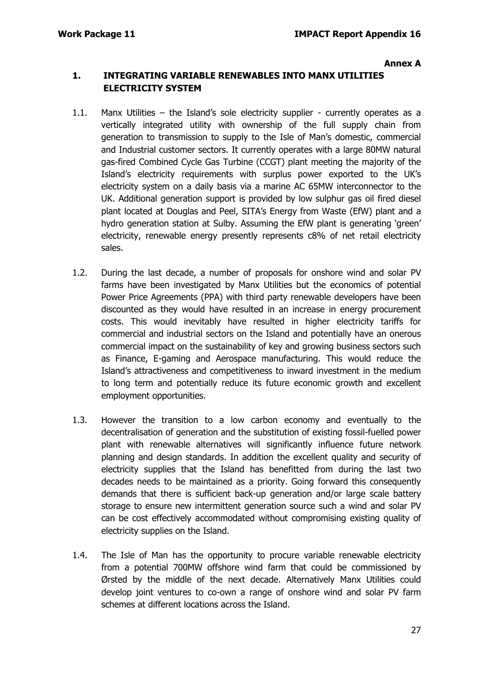#### **Annex A**

#### **1. INTEGRATING VARIABLE RENEWABLES INTO MANX UTILITIES ELECTRICITY SYSTEM**

- 1.1. Manx Utilities the Island's sole electricity supplier currently operates as a vertically integrated utility with ownership of the full supply chain from generation to transmission to supply to the Isle of Man's domestic, commercial and Industrial customer sectors. It currently operates with a large 80MW natural gas-fired Combined Cycle Gas Turbine (CCGT) plant meeting the majority of the Island's electricity requirements with surplus power exported to the UK's electricity system on a daily basis via a marine AC 65MW interconnector to the UK. Additional generation support is provided by low sulphur gas oil fired diesel plant located at Douglas and Peel, SITA's Energy from Waste (EfW) plant and a hydro generation station at Sulby. Assuming the EfW plant is generating 'green' electricity, renewable energy presently represents c8% of net retail electricity sales.
- 1.2. During the last decade, a number of proposals for onshore wind and solar PV farms have been investigated by Manx Utilities but the economics of potential Power Price Agreements (PPA) with third party renewable developers have been discounted as they would have resulted in an increase in energy procurement costs. This would inevitably have resulted in higher electricity tariffs for commercial and industrial sectors on the Island and potentially have an onerous commercial impact on the sustainability of key and growing business sectors such as Finance, E-gaming and Aerospace manufacturing. This would reduce the Island's attractiveness and competitiveness to inward investment in the medium to long term and potentially reduce its future economic growth and excellent employment opportunities.
- 1.3. However the transition to a low carbon economy and eventually to the decentralisation of generation and the substitution of existing fossil-fuelled power plant with renewable alternatives will significantly influence future network planning and design standards. In addition the excellent quality and security of electricity supplies that the Island has benefitted from during the last two decades needs to be maintained as a priority. Going forward this consequently demands that there is sufficient back-up generation and/or large scale battery storage to ensure new intermittent generation source such a wind and solar PV can be cost effectively accommodated without compromising existing quality of electricity supplies on the Island.
- 1.4. The Isle of Man has the opportunity to procure variable renewable electricity from a potential 700MW offshore wind farm that could be commissioned by Ørsted by the middle of the next decade. Alternatively Manx Utilities could develop joint ventures to co-own a range of onshore wind and solar PV farm schemes at different locations across the Island.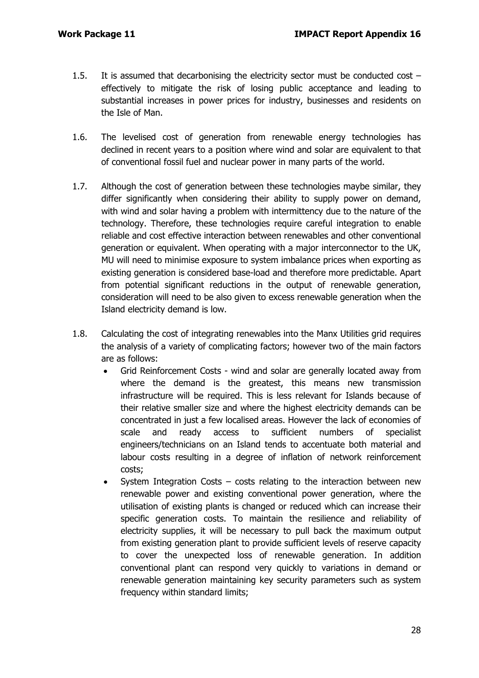- 1.5. It is assumed that decarbonising the electricity sector must be conducted cost effectively to mitigate the risk of losing public acceptance and leading to substantial increases in power prices for industry, businesses and residents on the Isle of Man.
- 1.6. The levelised cost of generation from renewable energy technologies has declined in recent years to a position where wind and solar are equivalent to that of conventional fossil fuel and nuclear power in many parts of the world.
- 1.7. Although the cost of generation between these technologies maybe similar, they differ significantly when considering their ability to supply power on demand, with wind and solar having a problem with intermittency due to the nature of the technology. Therefore, these technologies require careful integration to enable reliable and cost effective interaction between renewables and other conventional generation or equivalent. When operating with a major interconnector to the UK, MU will need to minimise exposure to system imbalance prices when exporting as existing generation is considered base-load and therefore more predictable. Apart from potential significant reductions in the output of renewable generation, consideration will need to be also given to excess renewable generation when the Island electricity demand is low.
- 1.8. Calculating the cost of integrating renewables into the Manx Utilities grid requires the analysis of a variety of complicating factors; however two of the main factors are as follows:
	- Grid Reinforcement Costs wind and solar are generally located away from where the demand is the greatest, this means new transmission infrastructure will be required. This is less relevant for Islands because of their relative smaller size and where the highest electricity demands can be concentrated in just a few localised areas. However the lack of economies of scale and ready access to sufficient numbers of specialist engineers/technicians on an Island tends to accentuate both material and labour costs resulting in a degree of inflation of network reinforcement costs;
	- System Integration Costs costs relating to the interaction between new renewable power and existing conventional power generation, where the utilisation of existing plants is changed or reduced which can increase their specific generation costs. To maintain the resilience and reliability of electricity supplies, it will be necessary to pull back the maximum output from existing generation plant to provide sufficient levels of reserve capacity to cover the unexpected loss of renewable generation. In addition conventional plant can respond very quickly to variations in demand or renewable generation maintaining key security parameters such as system frequency within standard limits;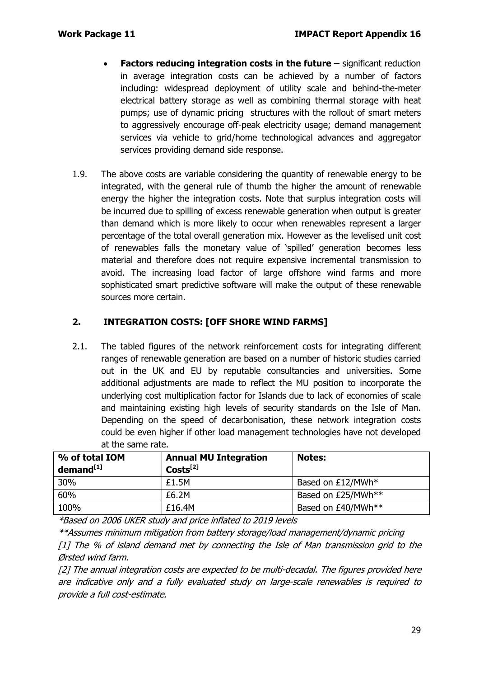- **Factors reducing integration costs in the future –** significant reduction in average integration costs can be achieved by a number of factors including: widespread deployment of utility scale and behind-the-meter electrical battery storage as well as combining thermal storage with heat pumps; use of dynamic pricing structures with the rollout of smart meters to aggressively encourage off-peak electricity usage; demand management services via vehicle to grid/home technological advances and aggregator services providing demand side response.
- 1.9. The above costs are variable considering the quantity of renewable energy to be integrated, with the general rule of thumb the higher the amount of renewable energy the higher the integration costs. Note that surplus integration costs will be incurred due to spilling of excess renewable generation when output is greater than demand which is more likely to occur when renewables represent a larger percentage of the total overall generation mix. However as the levelised unit cost of renewables falls the monetary value of 'spilled' generation becomes less material and therefore does not require expensive incremental transmission to avoid. The increasing load factor of large offshore wind farms and more sophisticated smart predictive software will make the output of these renewable sources more certain.

# **2. INTEGRATION COSTS: [OFF SHORE WIND FARMS]**

2.1. The tabled figures of the network reinforcement costs for integrating different ranges of renewable generation are based on a number of historic studies carried out in the UK and EU by reputable consultancies and universities. Some additional adjustments are made to reflect the MU position to incorporate the underlying cost multiplication factor for Islands due to lack of economies of scale and maintaining existing high levels of security standards on the Isle of Man. Depending on the speed of decarbonisation, these network integration costs could be even higher if other load management technologies have not developed at the same rate.

| % of total IOM<br>demand <sup>[1]</sup> | <b>Annual MU Integration</b><br>$Costs^{[2]}$ | <b>Notes:</b>      |
|-----------------------------------------|-----------------------------------------------|--------------------|
| 30%                                     | £1.5M                                         | Based on £12/MWh*  |
| 60%                                     | £6.2M                                         | Based on £25/MWh** |
| 100%                                    | £16.4M                                        | Based on £40/MWh** |

\*Based on 2006 UKER study and price inflated to 2019 levels

\*\*Assumes minimum mitigation from battery storage/load management/dynamic pricing [1] The % of island demand met by connecting the Isle of Man transmission grid to the Ørsted wind farm.

[2] The annual integration costs are expected to be multi-decadal. The figures provided here are indicative only and a fully evaluated study on large-scale renewables is required to provide a full cost-estimate.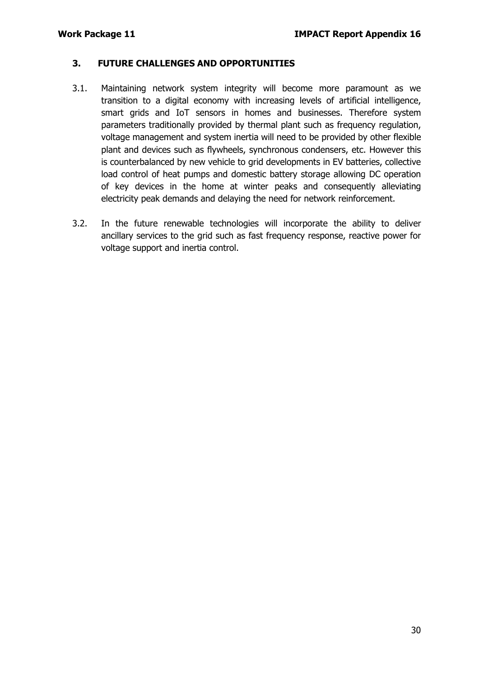#### **3. FUTURE CHALLENGES AND OPPORTUNITIES**

- 3.1. Maintaining network system integrity will become more paramount as we transition to a digital economy with increasing levels of artificial intelligence, smart grids and IoT sensors in homes and businesses. Therefore system parameters traditionally provided by thermal plant such as frequency regulation, voltage management and system inertia will need to be provided by other flexible plant and devices such as flywheels, synchronous condensers, etc. However this is counterbalanced by new vehicle to grid developments in EV batteries, collective load control of heat pumps and domestic battery storage allowing DC operation of key devices in the home at winter peaks and consequently alleviating electricity peak demands and delaying the need for network reinforcement.
- 3.2. In the future renewable technologies will incorporate the ability to deliver ancillary services to the grid such as fast frequency response, reactive power for voltage support and inertia control.